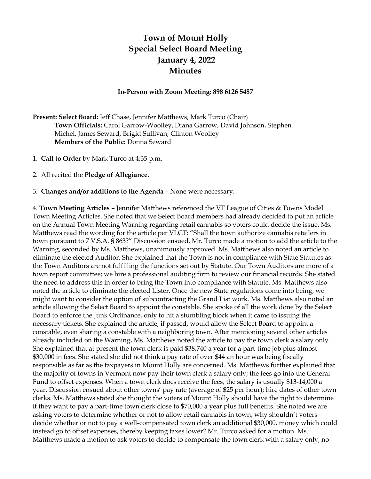## **Town of Mount Holly Special Select Board Meeting January 4, 2022 Minutes**

## **In-Person with Zoom Meeting: 898 6126 5487**

**Present: Select Board:** Jeff Chase, Jennifer Matthews, Mark Turco (Chair) **Town Officials:** Carol Garrow-Woolley, Diana Garrow, David Johnson, Stephen Michel, James Seward, Brigid Sullivan, Clinton Woolley **Members of the Public:** Donna Seward

- 1. **Call to Order** by Mark Turco at 4:35 p.m.
- 2. All recited the **Pledge of Allegiance**.

3. **Changes and/or additions to the Agenda** – None were necessary.

4. **Town Meeting Articles –** Jennifer Matthews referenced the VT League of Cities & Towns Model Town Meeting Articles. She noted that we Select Board members had already decided to put an article on the Annual Town Meeting Warning regarding retail cannabis so voters could decide the issue. Ms. Matthews read the wording for the article per VLCT: "Shall the town authorize cannabis retailers in town pursuant to 7 V.S.A. § 863?" Discussion ensued. Mr. Turco made a motion to add the article to the Warning, seconded by Ms. Matthews, unanimously approved. Ms. Matthews also noted an article to eliminate the elected Auditor. She explained that the Town is not in compliance with State Statutes as the Town Auditors are not fulfilling the functions set out by Statute. Our Town Auditors are more of a town report committee; we hire a professional auditing firm to review our financial records. She stated the need to address this in order to bring the Town into compliance with Statute. Ms. Matthews also noted the article to eliminate the elected Lister. Once the new State regulations come into being, we might want to consider the option of subcontracting the Grand List work. Ms. Matthews also noted an article allowing the Select Board to appoint the constable. She spoke of all the work done by the Select Board to enforce the Junk Ordinance, only to hit a stumbling block when it came to issuing the necessary tickets. She explained the article, if passed, would allow the Select Board to appoint a constable, even sharing a constable with a neighboring town. After mentioning several other articles already included on the Warning, Ms. Matthews noted the article to pay the town clerk a salary only. She explained that at present the town clerk is paid \$38,740 a year for a part-time job plus almost \$30,000 in fees. She stated she did not think a pay rate of over \$44 an hour was being fiscally responsible as far as the taxpayers in Mount Holly are concerned. Ms. Matthews further explained that the majority of towns in Vermont now pay their town clerk a salary only; the fees go into the General Fund to offset expenses. When a town clerk does receive the fees, the salary is usually \$13-14,000 a year. Discussion ensued about other towns' pay rate (average of \$25 per hour); hire dates of other town clerks. Ms. Matthews stated she thought the voters of Mount Holly should have the right to determine if they want to pay a part-time town clerk close to \$70,000 a year plus full benefits. She noted we are asking voters to determine whether or not to allow retail cannabis in town; why shouldn't voters decide whether or not to pay a well-compensated town clerk an additional \$30,000, money which could instead go to offset expenses, thereby keeping taxes lower? Mr. Turco asked for a motion. Ms. Matthews made a motion to ask voters to decide to compensate the town clerk with a salary only, no